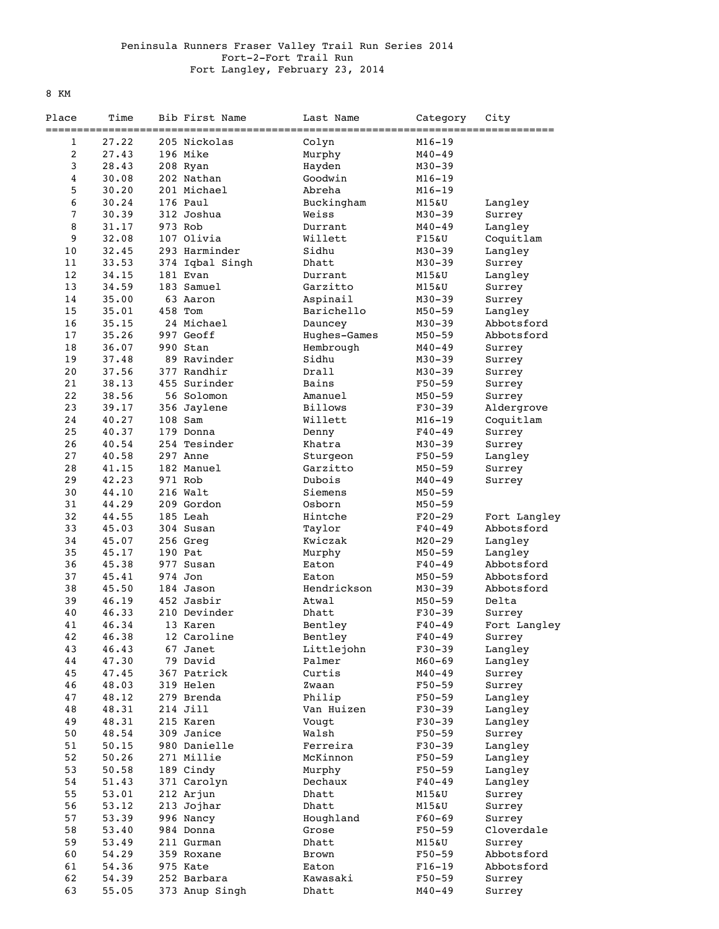## Peninsula Runners Fraser Valley Trail Run Series 2014 Fort-2-Fort Trail Run Fort Langley, February 23, 2014

8 KM

| Place          | Time  | Bib First Name          | Last Name       | Category                 | City         |
|----------------|-------|-------------------------|-----------------|--------------------------|--------------|
|                |       | ===============         | =============== |                          |              |
| 1              | 27.22 | 205 Nickolas            | Colyn           | $M16 - 19$               |              |
| $\overline{c}$ | 27.43 | 196 Mike                | Murphy          | $M40 - 49$               |              |
| 3              | 28.43 | 208 Ryan                | Hayden          | $M30 - 39$               |              |
| 4              | 30.08 | 202 Nathan              | Goodwin         | $M16 - 19$               |              |
| 5              | 30.20 | 201 Michael             | Abreha          | $M16 - 19$               |              |
| 6              | 30.24 | 176 Paul                | Buckingham      | M15&U                    | Langley      |
| 7              | 30.39 | 312 Joshua              | Weiss           | $M30 - 39$               | Surrey       |
| 8              | 31.17 | 973 Rob                 | Durrant         | $M40 - 49$               | Langley      |
| 9              | 32.08 | 107 Olivia              | Willett         | F15&U                    | Coquitlam    |
| 10             | 32.45 | 293 Harminder           | Sidhu           | $M30 - 39$               | Langley      |
| 11             | 33.53 | 374 Iqbal Singh         | Dhatt           | $M30 - 39$               | Surrey       |
| 12             | 34.15 | 181 Evan                | Durrant         | M15&U                    | Langley      |
| 13             | 34.59 | 183 Samuel              | Garzitto        | M15&U                    | Surrey       |
| 14             | 35.00 | 63 Aaron                | Aspinail        | $M30 - 39$               | Surrey       |
| 15             | 35.01 | 458 Tom                 | Barichello      | $M50 - 59$               | Langley      |
| 16             | 35.15 | 24 Michael              | Dauncey         | $M30 - 39$               | Abbotsford   |
| 17             | 35.26 | 997 Geoff               | Hughes-Games    | $M50 - 59$               | Abbotsford   |
| 18             | 36.07 | 990 Stan                | Hembrough       | $M40 - 49$               | Surrey       |
| 19             | 37.48 | 89 Ravinder             | Sidhu           | $M30 - 39$               |              |
| 20             | 37.56 | 377 Randhir             | Drall           | $M30 - 39$               | Surrey       |
| 21             |       | 455 Surinder            |                 |                          | Surrey       |
| 22             | 38.13 |                         | Bains           | $F50-59$<br>$M50 - 59$   | Surrey       |
|                | 38.56 | 56 Solomon              | Amanuel         |                          | Surrey       |
| 23             | 39.17 | 356 Jaylene             | <b>Billows</b>  | $F30-39$                 | Aldergrove   |
| 24             | 40.27 | 108 Sam                 | Willett         | $M16 - 19$               | Coquitlam    |
| 25             | 40.37 | 179 Donna               | Denny           | $F40 - 49$               | Surrey       |
| 26             | 40.54 | 254 Tesinder            | Khatra          | $M30 - 39$               | Surrey       |
| 27             | 40.58 | 297 Anne                | Sturgeon        | $F50 - 59$               | Langley      |
| 28             | 41.15 | 182 Manuel              | Garzitto        | $M50 - 59$               | Surrey       |
| 29             | 42.23 | 971 Rob                 | Dubois          | $M40 - 49$               | Surrey       |
| 30             | 44.10 | 216 Walt                | Siemens         | $M50 - 59$               |              |
| 31             | 44.29 | 209 Gordon              | Osborn          | $M50 - 59$               |              |
| 32             | 44.55 | 185 Leah                | Hintche         | $F20-29$                 | Fort Langley |
| 33             | 45.03 | 304 Susan               | Taylor          | $F40 - 49$               | Abbotsford   |
| 34             | 45.07 | 256 Greg                | Kwiczak         | $M20 - 29$               | Langley      |
| 35             | 45.17 | 190 Pat                 | Murphy          | $M50 - 59$               | Langley      |
| 36             | 45.38 | 977 Susan               | Eaton           | $F40 - 49$               | Abbotsford   |
| 37             | 45.41 | 974 Jon                 | Eaton           | $M50 - 59$               | Abbotsford   |
| 38             | 45.50 | 184 Jason               | Hendrickson     | $M30 - 39$               | Abbotsford   |
| 39             | 46.19 | 452 Jasbir              | Atwal           | $M50 - 59$               | Delta        |
| 40             | 46.33 | 210 Devinder            | Dhatt           | $F30-39$                 | Surrey       |
| 41             | 46.34 | 13 Karen                | Bentley         | $F40 - 49$               | Fort Langley |
| 42             | 46.38 | 12 Caroline             | Bentlev         | $F40 - 49$               | Surrey       |
| 43             | 46.43 | 67 Janet                | Littlejohn      | $F30-39$                 | Langley      |
| 44             | 47.30 | 79 David                | Palmer          | $M60 - 69$               | Langley      |
| 45             | 47.45 | 367 Patrick             | Curtis          | $M40 - 49$               | Surrey       |
| 46             | 48.03 | 319 Helen               | Zwaan           | $F50 - 59$               | Surrey       |
| 47             | 48.12 | 279 Brenda              | Philip          | $F50 - 59$               | Langley      |
| 48             | 48.31 | 214 Jill                | Van Huizen      | $F30-39$                 | Langley      |
| 49             | 48.31 | 215 Karen               | Vougt           | $F30-39$                 | Langley      |
| $50\,$         | 48.54 | 309 Janice              | Walsh           | $F50 - 59$               | Surrey       |
| 51             | 50.15 | 980 Danielle            | Ferreira        | $F30-39$                 |              |
|                |       |                         |                 |                          | Langley      |
| 52             | 50.26 | 271 Millie<br>189 Cindy | McKinnon        | $F50 - 59$<br>$F50 - 59$ | Langley      |
| 53             | 50.58 |                         | Murphy          |                          | Langley      |
| 54             | 51.43 | 371 Carolyn             | Dechaux         | $F40 - 49$               | Langley      |
| 55             | 53.01 | 212 Arjun               | Dhatt           | M15&U                    | Surrey       |
| 56             | 53.12 | 213 Jojhar              | Dhatt           | M15&U                    | Surrey       |
| 57             | 53.39 | 996 Nancy               | Houghland       | $F60 - 69$               | Surrey       |
| 58             | 53.40 | 984 Donna               | Grose           | $F50 - 59$               | Cloverdale   |
| 59             | 53.49 | 211 Gurman              | Dhatt           | M15&U                    | Surrey       |
| 60             | 54.29 | 359 Roxane              | Brown           | $F50 - 59$               | Abbotsford   |
| 61             | 54.36 | 975 Kate                | Eaton           | $F16-19$                 | Abbotsford   |
| 62             | 54.39 | 252 Barbara             | Kawasaki        | $F50 - 59$               | Surrey       |
| 63             | 55.05 | 373 Anup Singh          | Dhatt           | $M40 - 49$               | Surrey       |